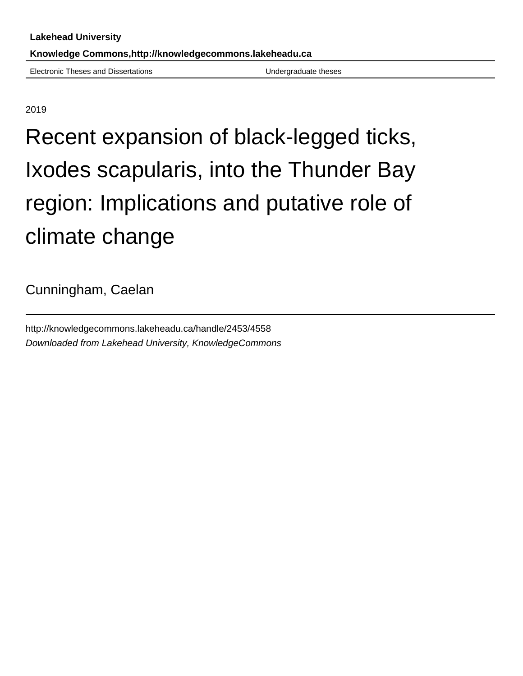Electronic Theses and Dissertations Undergraduate theses

2019

# Recent expansion of black-legged ticks, Ixodes scapularis, into the Thunder Bay region: Implications and putative role of climate change

Cunningham, Caelan

http://knowledgecommons.lakeheadu.ca/handle/2453/4558 Downloaded from Lakehead University, KnowledgeCommons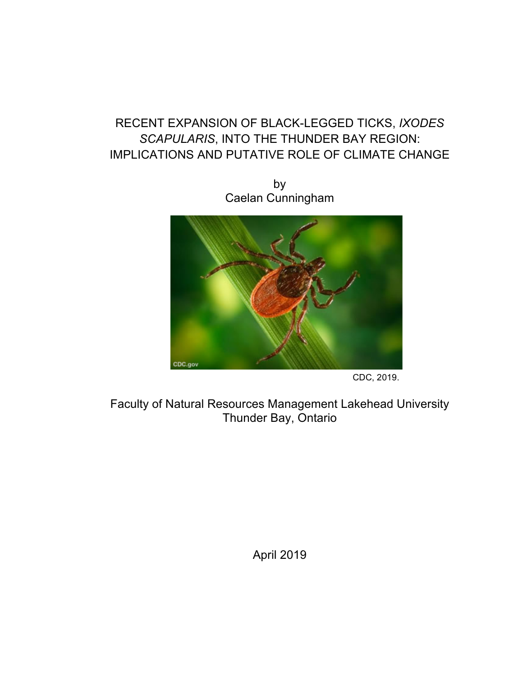# RECENT EXPANSION OF BLACK-LEGGED TICKS, *IXODES SCAPULARIS*, INTO THE THUNDER BAY REGION: IMPLICATIONS AND PUTATIVE ROLE OF CLIMATE CHANGE

by Caelan Cunningham



CDC, 2019.

Faculty of Natural Resources Management Lakehead University Thunder Bay, Ontario

April 2019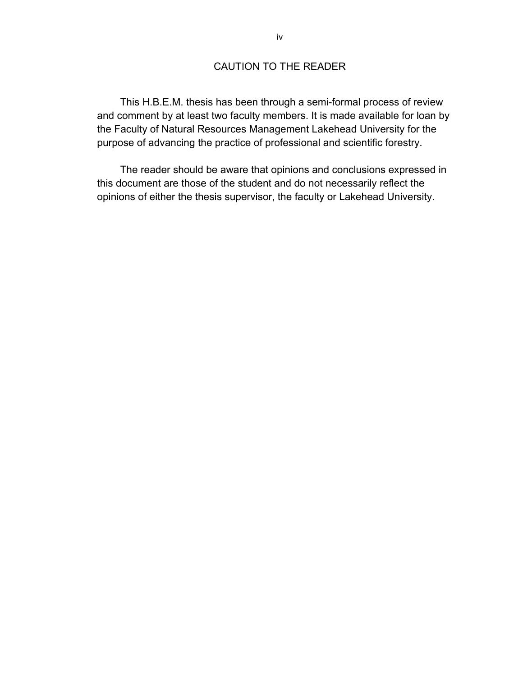# CAUTION TO THE READER

This H.B.E.M. thesis has been through a semi-formal process of review and comment by at least two faculty members. It is made available for loan by the Faculty of Natural Resources Management Lakehead University for the purpose of advancing the practice of professional and scientific forestry.

The reader should be aware that opinions and conclusions expressed in this document are those of the student and do not necessarily reflect the opinions of either the thesis supervisor, the faculty or Lakehead University.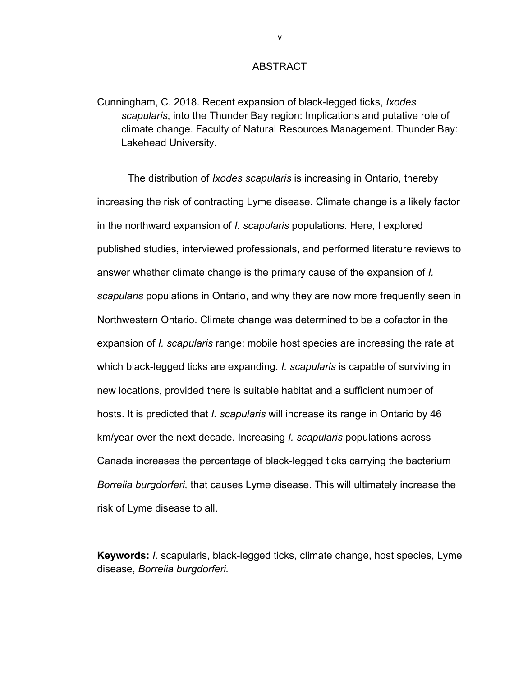# **ABSTRACT**

Cunningham, C. 2018. Recent expansion of black-legged ticks, *Ixodes scapularis*, into the Thunder Bay region: Implications and putative role of climate change. Faculty of Natural Resources Management. Thunder Bay: Lakehead University.

The distribution of *Ixodes scapularis* is increasing in Ontario, thereby increasing the risk of contracting Lyme disease. Climate change is a likely factor in the northward expansion of *I. scapularis* populations. Here, I explored published studies, interviewed professionals, and performed literature reviews to answer whether climate change is the primary cause of the expansion of *I. scapularis* populations in Ontario, and why they are now more frequently seen in Northwestern Ontario. Climate change was determined to be a cofactor in the expansion of *I. scapularis* range; mobile host species are increasing the rate at which black-legged ticks are expanding. *I. scapularis* is capable of surviving in new locations, provided there is suitable habitat and a sufficient number of hosts. It is predicted that *I. scapularis* will increase its range in Ontario by 46 km/year over the next decade. Increasing *I. scapularis* populations across Canada increases the percentage of black-legged ticks carrying the bacterium *Borrelia burgdorferi,* that causes Lyme disease. This will ultimately increase the risk of Lyme disease to all.

**Keywords:** *I.* scapularis, black-legged ticks, climate change, host species, Lyme disease, *Borrelia burgdorferi.*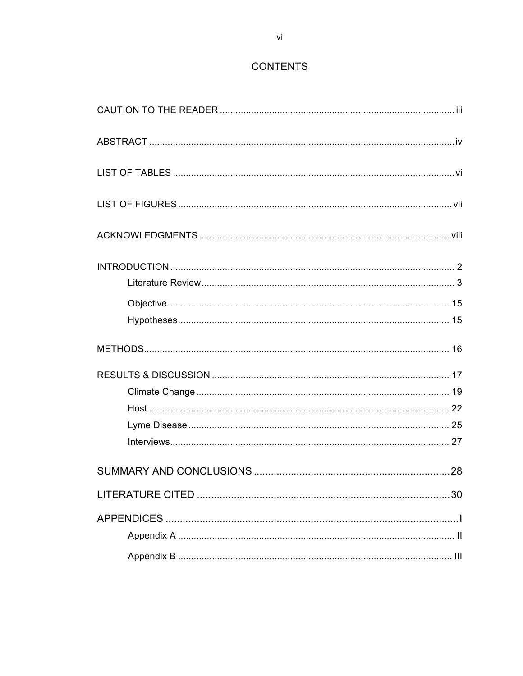# **CONTENTS**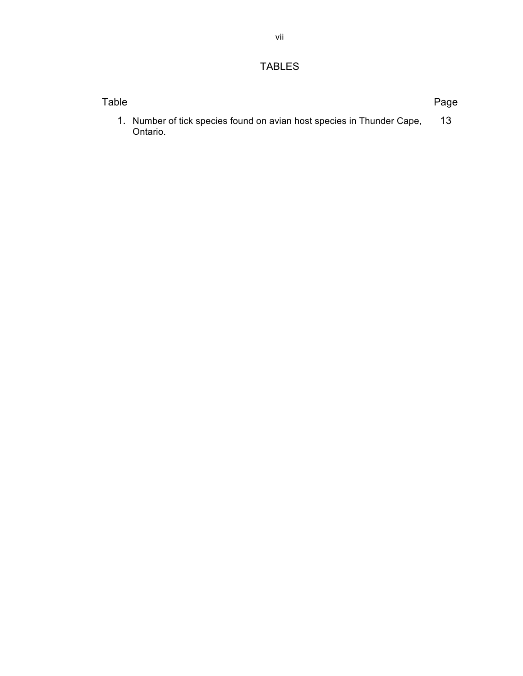# TABLES

| Table |                                                                                    | Page |
|-------|------------------------------------------------------------------------------------|------|
|       | 1. Number of tick species found on avian host species in Thunder Cape,<br>Ontario. |      |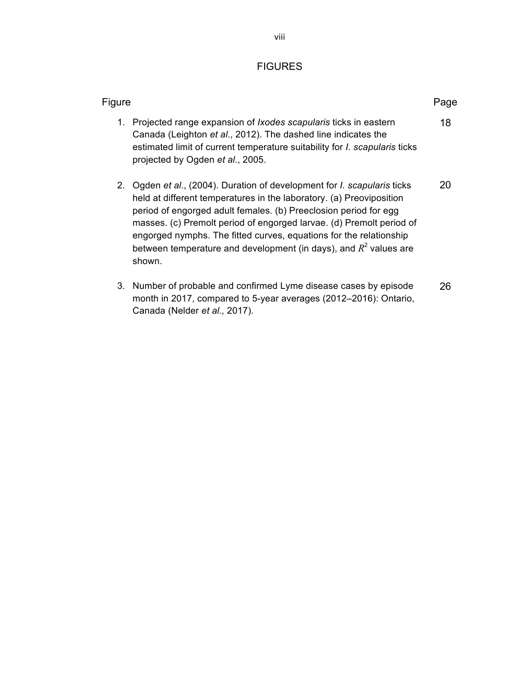# FIGURES

| Figure                                                                                                                                                                                                                                                                                                                                                                                                                                                        | Page |
|---------------------------------------------------------------------------------------------------------------------------------------------------------------------------------------------------------------------------------------------------------------------------------------------------------------------------------------------------------------------------------------------------------------------------------------------------------------|------|
| 1. Projected range expansion of <i>Ixodes scapularis</i> ticks in eastern<br>Canada (Leighton et al., 2012). The dashed line indicates the<br>estimated limit of current temperature suitability for <i>I. scapularis</i> ticks<br>projected by Ogden et al., 2005.                                                                                                                                                                                           | 18   |
| Ogden et al., (2004). Duration of development for <i>l. scapularis</i> ticks<br>2.<br>held at different temperatures in the laboratory. (a) Preoviposition<br>period of engorged adult females. (b) Preeclosion period for egg<br>masses. (c) Premolt period of engorged larvae. (d) Premolt period of<br>engorged nymphs. The fitted curves, equations for the relationship<br>between temperature and development (in days), and $R^2$ values are<br>shown. | 20   |
| Number of probable and confirmed Lyme disease cases by episode<br>3.<br>month in 2017, compared to 5-year averages (2012-2016): Ontario,                                                                                                                                                                                                                                                                                                                      | 26   |

Canada (Nelder *et al.,* 2017).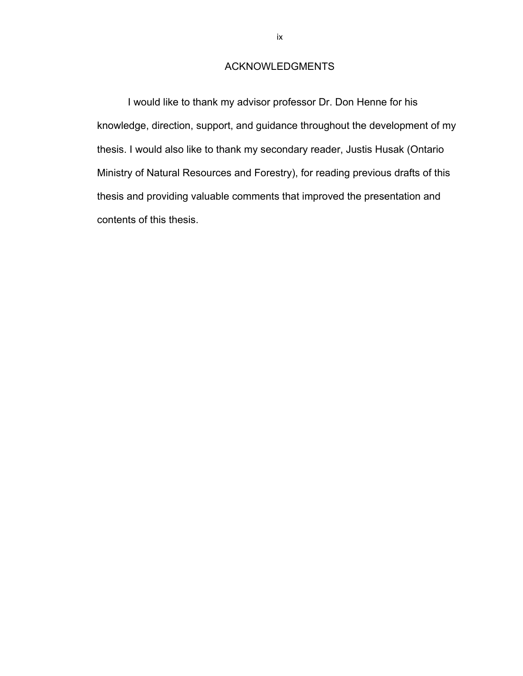# ACKNOWLEDGMENTS

I would like to thank my advisor professor Dr. Don Henne for his knowledge, direction, support, and guidance throughout the development of my thesis. I would also like to thank my secondary reader, Justis Husak (Ontario Ministry of Natural Resources and Forestry), for reading previous drafts of this thesis and providing valuable comments that improved the presentation and contents of this thesis.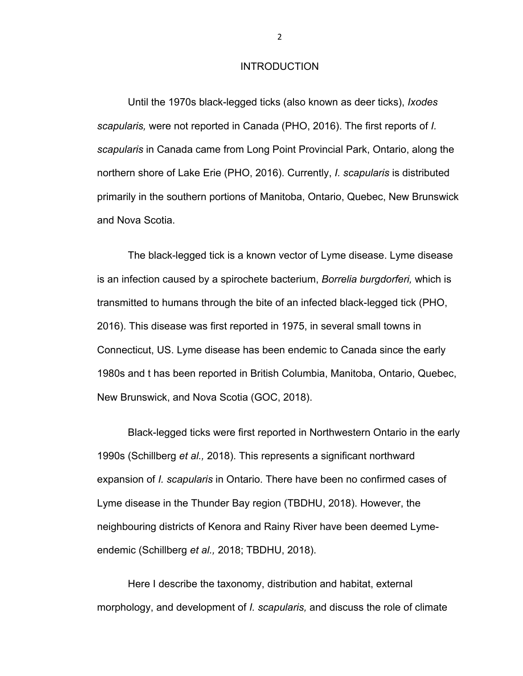# **INTRODUCTION**

Until the 1970s black-legged ticks (also known as deer ticks), *Ixodes scapularis,* were not reported in Canada (PHO, 2016). The first reports of *I. scapularis* in Canada came from Long Point Provincial Park, Ontario, along the northern shore of Lake Erie (PHO, 2016). Currently, *I. scapularis* is distributed primarily in the southern portions of Manitoba, Ontario, Quebec, New Brunswick and Nova Scotia.

The black-legged tick is a known vector of Lyme disease. Lyme disease is an infection caused by a spirochete bacterium, *Borrelia burgdorferi,* which is transmitted to humans through the bite of an infected black-legged tick (PHO, 2016). This disease was first reported in 1975, in several small towns in Connecticut, US. Lyme disease has been endemic to Canada since the early 1980s and t has been reported in British Columbia, Manitoba, Ontario, Quebec, New Brunswick, and Nova Scotia (GOC, 2018).

Black-legged ticks were first reported in Northwestern Ontario in the early 1990s (Schillberg *et al.,* 2018). This represents a significant northward expansion of *I. scapularis* in Ontario. There have been no confirmed cases of Lyme disease in the Thunder Bay region (TBDHU, 2018). However, the neighbouring districts of Kenora and Rainy River have been deemed Lymeendemic (Schillberg *et al.,* 2018; TBDHU, 2018).

Here I describe the taxonomy, distribution and habitat, external morphology, and development of *I. scapularis,* and discuss the role of climate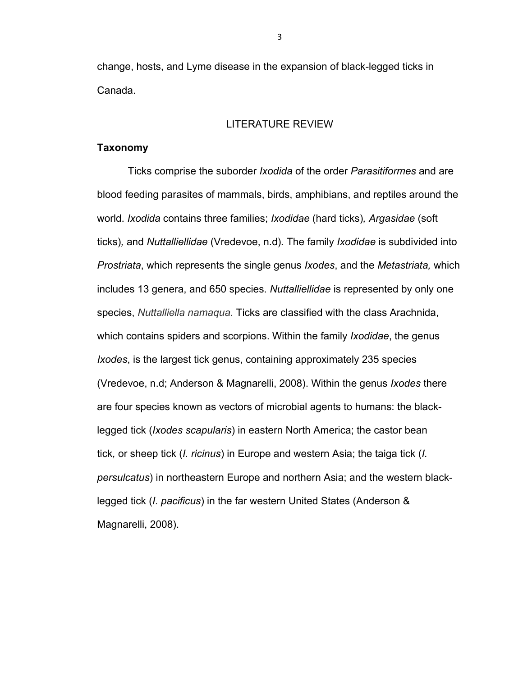change, hosts, and Lyme disease in the expansion of black-legged ticks in Canada.

#### LITERATURE REVIEW

# **Taxonomy**

Ticks comprise the suborder *Ixodida* of the order *Parasitiformes* and are blood feeding parasites of mammals, birds, amphibians, and reptiles around the world. *Ixodida* contains three families; *Ixodidae* (hard ticks)*, Argasidae* (soft ticks)*,* and *Nuttalliellidae* (Vredevoe, n.d)*.* The family *Ixodidae* is subdivided into *Prostriata*, which represents the single genus *Ixodes*, and the *Metastriata,* which includes 13 genera, and 650 species. *Nuttalliellidae* is represented by only one species, *Nuttalliella namaqua.* Ticks are classified with the class Arachnida, which contains spiders and scorpions. Within the family *Ixodidae*, the genus *Ixodes*, is the largest tick genus, containing approximately 235 species (Vredevoe, n.d; Anderson & Magnarelli, 2008). Within the genus *Ixodes* there are four species known as vectors of microbial agents to humans: the blacklegged tick (*Ixodes scapularis*) in eastern North America; the castor bean tick*,* or sheep tick (*I. ricinus*) in Europe and western Asia; the taiga tick (*I. persulcatus*) in northeastern Europe and northern Asia; and the western blacklegged tick (*I. pacificus*) in the far western United States (Anderson & Magnarelli, 2008).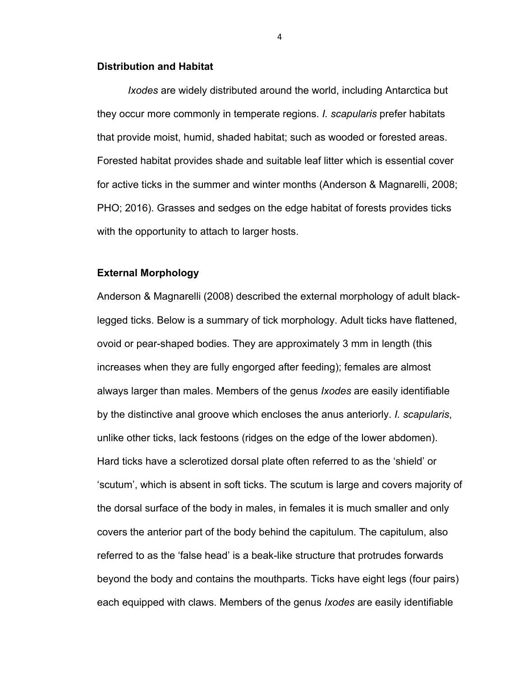## **Distribution and Habitat**

*Ixodes* are widely distributed around the world, including Antarctica but they occur more commonly in temperate regions. *I. scapularis* prefer habitats that provide moist, humid, shaded habitat; such as wooded or forested areas. Forested habitat provides shade and suitable leaf litter which is essential cover for active ticks in the summer and winter months (Anderson & Magnarelli, 2008; PHO; 2016). Grasses and sedges on the edge habitat of forests provides ticks with the opportunity to attach to larger hosts.

## **External Morphology**

Anderson & Magnarelli (2008) described the external morphology of adult blacklegged ticks. Below is a summary of tick morphology. Adult ticks have flattened, ovoid or pear-shaped bodies. They are approximately 3 mm in length (this increases when they are fully engorged after feeding); females are almost always larger than males. Members of the genus *Ixodes* are easily identifiable by the distinctive anal groove which encloses the anus anteriorly. *I. scapularis*, unlike other ticks, lack festoons (ridges on the edge of the lower abdomen). Hard ticks have a sclerotized dorsal plate often referred to as the 'shield' or 'scutum', which is absent in soft ticks. The scutum is large and covers majority of the dorsal surface of the body in males, in females it is much smaller and only covers the anterior part of the body behind the capitulum. The capitulum, also referred to as the 'false head' is a beak-like structure that protrudes forwards beyond the body and contains the mouthparts. Ticks have eight legs (four pairs) each equipped with claws. Members of the genus *Ixodes* are easily identifiable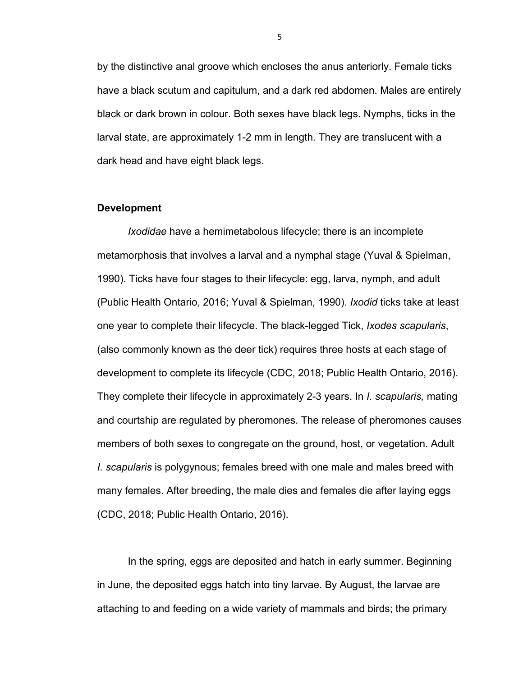by the distinctive anal groove which encloses the anus anteriorly. Female ticks have a black scutum and capitulum, and a dark red abdomen. Males are entirely black or dark brown in colour. Both sexes have black legs. Nymphs, ticks in the larval state, are approximately 1-2 mm in length. They are translucent with a dark head and have eight black legs.

#### **Development**

*Ixodidae* have a hemimetabolous lifecycle; there is an incomplete metamorphosis that involves a larval and a nymphal stage (Yuval & Spielman, 1990). Ticks have four stages to their lifecycle: egg, larva, nymph, and adult (Public Health Ontario, 2016; Yuval & Spielman, 1990). *Ixodid* ticks take at least one year to complete their lifecycle. The black-legged Tick, *Ixodes scapularis*, (also commonly known as the deer tick) requires three hosts at each stage of development to complete its lifecycle (CDC, 2018; Public Health Ontario, 2016). They complete their lifecycle in approximately 2-3 years. In *I. scapularis,* mating and courtship are regulated by pheromones. The release of pheromones causes members of both sexes to congregate on the ground, host, or vegetation. Adult *I. scapularis* is polygynous; females breed with one male and males breed with many females. After breeding, the male dies and females die after laying eggs (CDC, 2018; Public Health Ontario, 2016).

In the spring, eggs are deposited and hatch in early summer. Beginning in June, the deposited eggs hatch into tiny larvae. By August, the larvae are attaching to and feeding on a wide variety of mammals and birds; the primary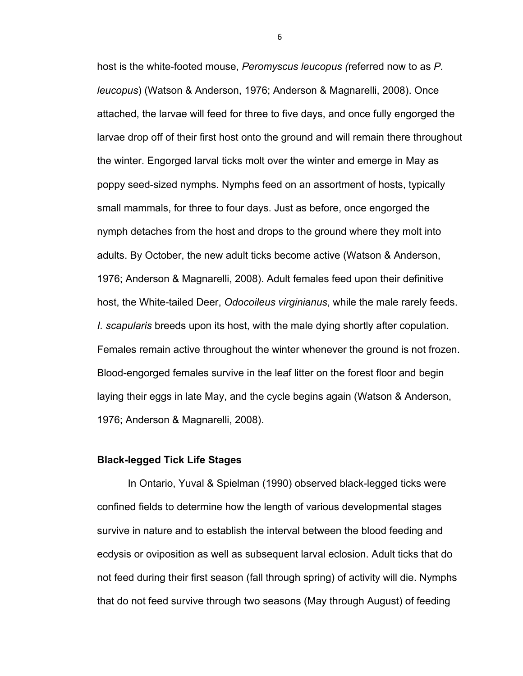host is the white-footed mouse, *Peromyscus leucopus (*referred now to as *P. leucopus*) (Watson & Anderson, 1976; Anderson & Magnarelli, 2008). Once attached, the larvae will feed for three to five days, and once fully engorged the larvae drop off of their first host onto the ground and will remain there throughout the winter. Engorged larval ticks molt over the winter and emerge in May as poppy seed-sized nymphs. Nymphs feed on an assortment of hosts, typically small mammals, for three to four days. Just as before, once engorged the nymph detaches from the host and drops to the ground where they molt into adults. By October, the new adult ticks become active (Watson & Anderson, 1976; Anderson & Magnarelli, 2008). Adult females feed upon their definitive host, the White-tailed Deer, *Odocoileus virginianus*, while the male rarely feeds. *I. scapularis* breeds upon its host, with the male dying shortly after copulation. Females remain active throughout the winter whenever the ground is not frozen. Blood-engorged females survive in the leaf litter on the forest floor and begin laying their eggs in late May, and the cycle begins again (Watson & Anderson, 1976; Anderson & Magnarelli, 2008).

# **Black-legged Tick Life Stages**

In Ontario, Yuval & Spielman (1990) observed black-legged ticks were confined fields to determine how the length of various developmental stages survive in nature and to establish the interval between the blood feeding and ecdysis or oviposition as well as subsequent larval eclosion. Adult ticks that do not feed during their first season (fall through spring) of activity will die. Nymphs that do not feed survive through two seasons (May through August) of feeding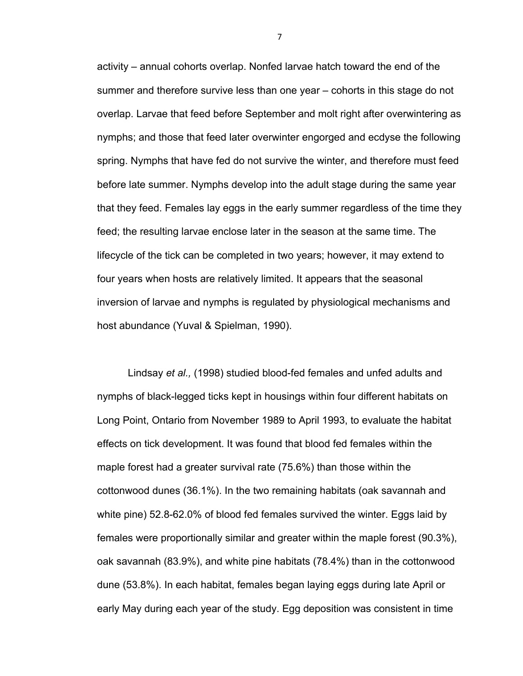activity – annual cohorts overlap. Nonfed larvae hatch toward the end of the summer and therefore survive less than one year – cohorts in this stage do not overlap. Larvae that feed before September and molt right after overwintering as nymphs; and those that feed later overwinter engorged and ecdyse the following spring. Nymphs that have fed do not survive the winter, and therefore must feed before late summer. Nymphs develop into the adult stage during the same year that they feed. Females lay eggs in the early summer regardless of the time they feed; the resulting larvae enclose later in the season at the same time. The lifecycle of the tick can be completed in two years; however, it may extend to four years when hosts are relatively limited. It appears that the seasonal inversion of larvae and nymphs is regulated by physiological mechanisms and host abundance (Yuval & Spielman, 1990).

Lindsay *et al.,* (1998) studied blood-fed females and unfed adults and nymphs of black-legged ticks kept in housings within four different habitats on Long Point, Ontario from November 1989 to April 1993, to evaluate the habitat effects on tick development. It was found that blood fed females within the maple forest had a greater survival rate (75.6%) than those within the cottonwood dunes (36.1%). In the two remaining habitats (oak savannah and white pine) 52.8-62.0% of blood fed females survived the winter. Eggs laid by females were proportionally similar and greater within the maple forest (90.3%), oak savannah (83.9%), and white pine habitats (78.4%) than in the cottonwood dune (53.8%). In each habitat, females began laying eggs during late April or early May during each year of the study. Egg deposition was consistent in time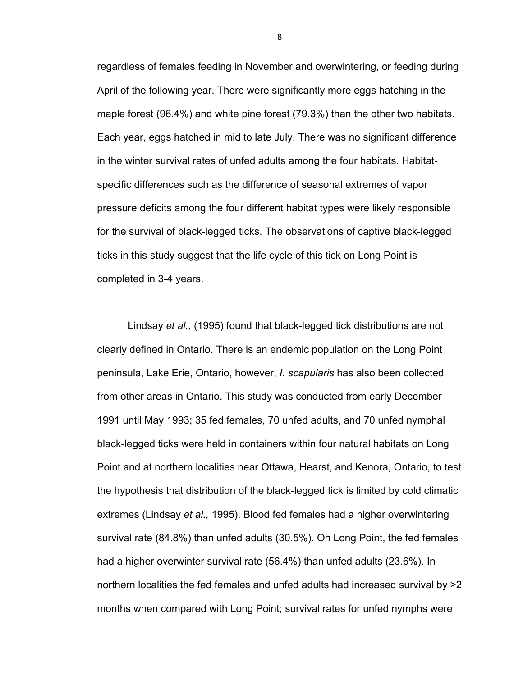regardless of females feeding in November and overwintering, or feeding during April of the following year. There were significantly more eggs hatching in the maple forest (96.4%) and white pine forest (79.3%) than the other two habitats. Each year, eggs hatched in mid to late July. There was no significant difference in the winter survival rates of unfed adults among the four habitats. Habitatspecific differences such as the difference of seasonal extremes of vapor pressure deficits among the four different habitat types were likely responsible for the survival of black-legged ticks. The observations of captive black-legged ticks in this study suggest that the life cycle of this tick on Long Point is completed in 3-4 years.

Lindsay *et al.,* (1995) found that black-legged tick distributions are not clearly defined in Ontario. There is an endemic population on the Long Point peninsula, Lake Erie, Ontario, however, *I. scapularis* has also been collected from other areas in Ontario. This study was conducted from early December 1991 until May 1993; 35 fed females, 70 unfed adults, and 70 unfed nymphal black-legged ticks were held in containers within four natural habitats on Long Point and at northern localities near Ottawa, Hearst, and Kenora, Ontario, to test the hypothesis that distribution of the black-legged tick is limited by cold climatic extremes (Lindsay *et al.,* 1995). Blood fed females had a higher overwintering survival rate (84.8%) than unfed adults (30.5%). On Long Point, the fed females had a higher overwinter survival rate (56.4%) than unfed adults (23.6%). In northern localities the fed females and unfed adults had increased survival by >2 months when compared with Long Point; survival rates for unfed nymphs were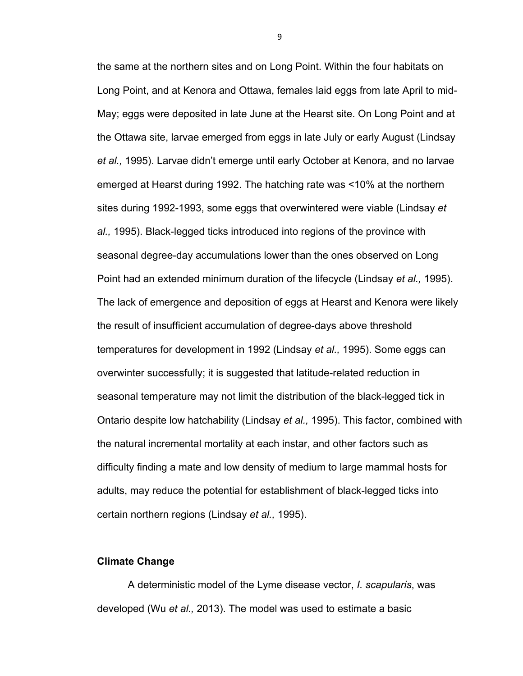the same at the northern sites and on Long Point. Within the four habitats on Long Point, and at Kenora and Ottawa, females laid eggs from late April to mid-May; eggs were deposited in late June at the Hearst site. On Long Point and at the Ottawa site, larvae emerged from eggs in late July or early August (Lindsay *et al.,* 1995). Larvae didn't emerge until early October at Kenora, and no larvae emerged at Hearst during 1992. The hatching rate was <10% at the northern sites during 1992-1993, some eggs that overwintered were viable (Lindsay *et al.,* 1995). Black-legged ticks introduced into regions of the province with seasonal degree-day accumulations lower than the ones observed on Long Point had an extended minimum duration of the lifecycle (Lindsay *et al.,* 1995). The lack of emergence and deposition of eggs at Hearst and Kenora were likely the result of insufficient accumulation of degree-days above threshold temperatures for development in 1992 (Lindsay *et al.,* 1995). Some eggs can overwinter successfully; it is suggested that latitude-related reduction in seasonal temperature may not limit the distribution of the black-legged tick in Ontario despite low hatchability (Lindsay *et al.,* 1995). This factor, combined with the natural incremental mortality at each instar, and other factors such as difficulty finding a mate and low density of medium to large mammal hosts for adults, may reduce the potential for establishment of black-legged ticks into certain northern regions (Lindsay *et al.,* 1995).

# **Climate Change**

A deterministic model of the Lyme disease vector, *I. scapularis*, was developed (Wu *et al.,* 2013). The model was used to estimate a basic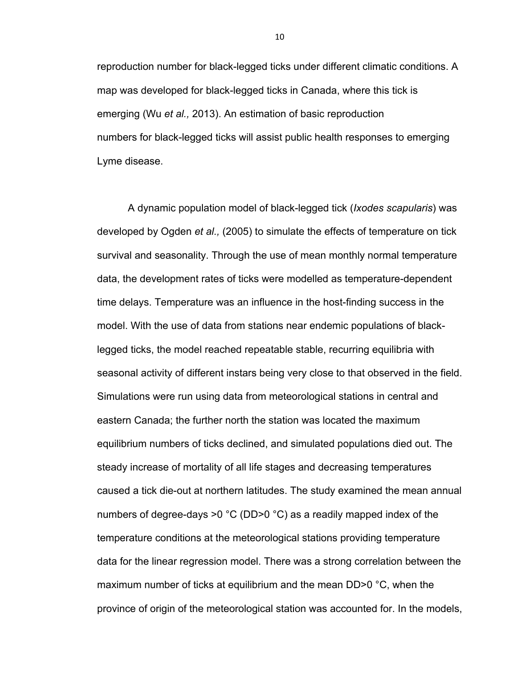reproduction number for black-legged ticks under different climatic conditions. A map was developed for black-legged ticks in Canada, where this tick is emerging (Wu *et al.,* 2013). An estimation of basic reproduction numbers for black-legged ticks will assist public health responses to emerging Lyme disease.

A dynamic population model of black-legged tick (*Ixodes scapularis*) was developed by Ogden *et al.,* (2005) to simulate the effects of temperature on tick survival and seasonality. Through the use of mean monthly normal temperature data, the development rates of ticks were modelled as temperature-dependent time delays. Temperature was an influence in the host-finding success in the model. With the use of data from stations near endemic populations of blacklegged ticks, the model reached repeatable stable, recurring equilibria with seasonal activity of different instars being very close to that observed in the field. Simulations were run using data from meteorological stations in central and eastern Canada; the further north the station was located the maximum equilibrium numbers of ticks declined, and simulated populations died out. The steady increase of mortality of all life stages and decreasing temperatures caused a tick die-out at northern latitudes. The study examined the mean annual numbers of degree-days >0 °C (DD>0 °C) as a readily mapped index of the temperature conditions at the meteorological stations providing temperature data for the linear regression model. There was a strong correlation between the maximum number of ticks at equilibrium and the mean DD>0 °C, when the province of origin of the meteorological station was accounted for. In the models,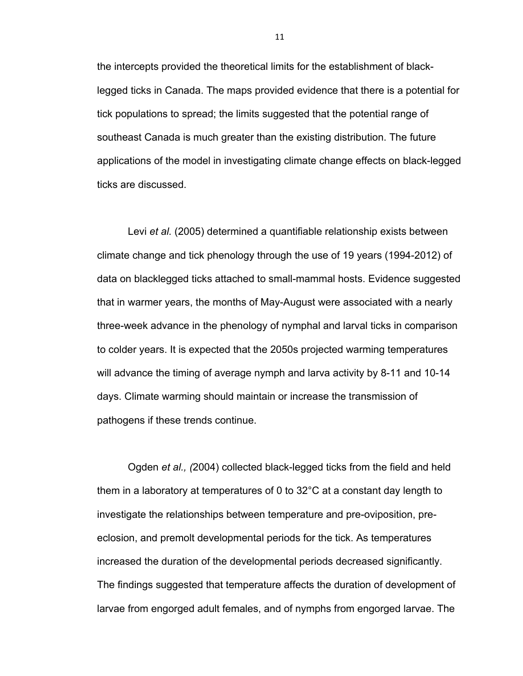the intercepts provided the theoretical limits for the establishment of blacklegged ticks in Canada. The maps provided evidence that there is a potential for tick populations to spread; the limits suggested that the potential range of southeast Canada is much greater than the existing distribution. The future applications of the model in investigating climate change effects on black-legged ticks are discussed.

Levi *et al.* (2005) determined a quantifiable relationship exists between climate change and tick phenology through the use of 19 years (1994-2012) of data on blacklegged ticks attached to small-mammal hosts. Evidence suggested that in warmer years, the months of May-August were associated with a nearly three-week advance in the phenology of nymphal and larval ticks in comparison to colder years. It is expected that the 2050s projected warming temperatures will advance the timing of average nymph and larva activity by 8-11 and 10-14 days. Climate warming should maintain or increase the transmission of pathogens if these trends continue.

Ogden *et al., (*2004) collected black-legged ticks from the field and held them in a laboratory at temperatures of 0 to 32°C at a constant day length to investigate the relationships between temperature and pre-oviposition, preeclosion, and premolt developmental periods for the tick. As temperatures increased the duration of the developmental periods decreased significantly. The findings suggested that temperature affects the duration of development of larvae from engorged adult females, and of nymphs from engorged larvae. The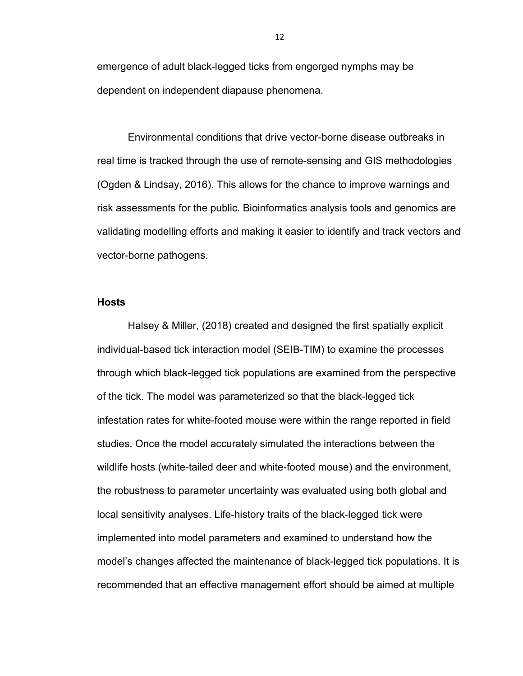emergence of adult black-legged ticks from engorged nymphs may be dependent on independent diapause phenomena.

Environmental conditions that drive vector-borne disease outbreaks in real time is tracked through the use of remote-sensing and GIS methodologies (Ogden & Lindsay, 2016). This allows for the chance to improve warnings and risk assessments for the public. Bioinformatics analysis tools and genomics are validating modelling efforts and making it easier to identify and track vectors and vector-borne pathogens.

#### **Hosts**

Halsey & Miller, (2018) created and designed the first spatially explicit individual-based tick interaction model (SEIB-TIM) to examine the processes through which black-legged tick populations are examined from the perspective of the tick. The model was parameterized so that the black-legged tick infestation rates for white-footed mouse were within the range reported in field studies. Once the model accurately simulated the interactions between the wildlife hosts (white-tailed deer and white-footed mouse) and the environment, the robustness to parameter uncertainty was evaluated using both global and local sensitivity analyses. Life-history traits of the black-legged tick were implemented into model parameters and examined to understand how the model's changes affected the maintenance of black-legged tick populations. It is recommended that an effective management effort should be aimed at multiple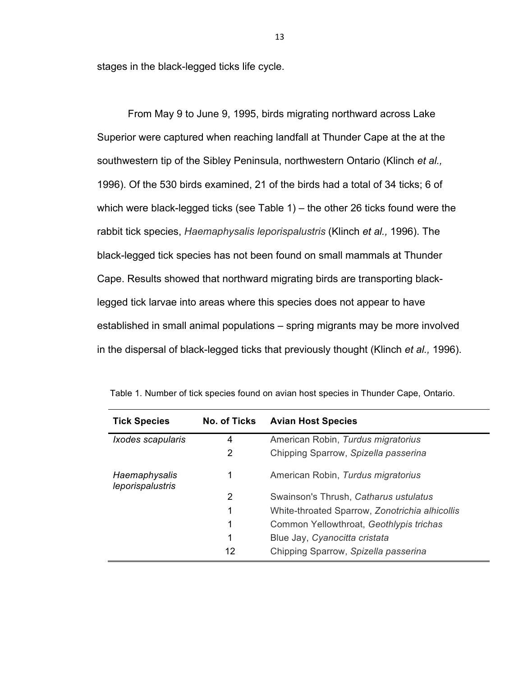stages in the black-legged ticks life cycle.

 From May 9 to June 9, 1995, birds migrating northward across Lake Superior were captured when reaching landfall at Thunder Cape at the at the southwestern tip of the Sibley Peninsula, northwestern Ontario (Klinch *et al.,*  1996). Of the 530 birds examined, 21 of the birds had a total of 34 ticks; 6 of which were black-legged ticks (see Table 1) – the other 26 ticks found were the rabbit tick species, *Haemaphysalis leporispalustris* (Klinch *et al.,* 1996). The black-legged tick species has not been found on small mammals at Thunder Cape. Results showed that northward migrating birds are transporting blacklegged tick larvae into areas where this species does not appear to have established in small animal populations – spring migrants may be more involved in the dispersal of black-legged ticks that previously thought (Klinch *et al.,* 1996).

| <b>Tick Species</b>               | No. of Ticks   | <b>Avian Host Species</b>                      |
|-----------------------------------|----------------|------------------------------------------------|
| Ixodes scapularis                 | 4              | American Robin, Turdus migratorius             |
|                                   | $\overline{2}$ | Chipping Sparrow, Spizella passerina           |
| Haemaphysalis<br>leporispalustris | 1              | American Robin, Turdus migratorius             |
|                                   | 2              | Swainson's Thrush, Catharus ustulatus          |
|                                   | 1              | White-throated Sparrow, Zonotrichia alhicollis |
|                                   | 1              | Common Yellowthroat, Geothlypis trichas        |
|                                   | 1              | Blue Jay, Cyanocitta cristata                  |
|                                   | 12             | Chipping Sparrow, Spizella passerina           |

Table 1. Number of tick species found on avian host species in Thunder Cape, Ontario.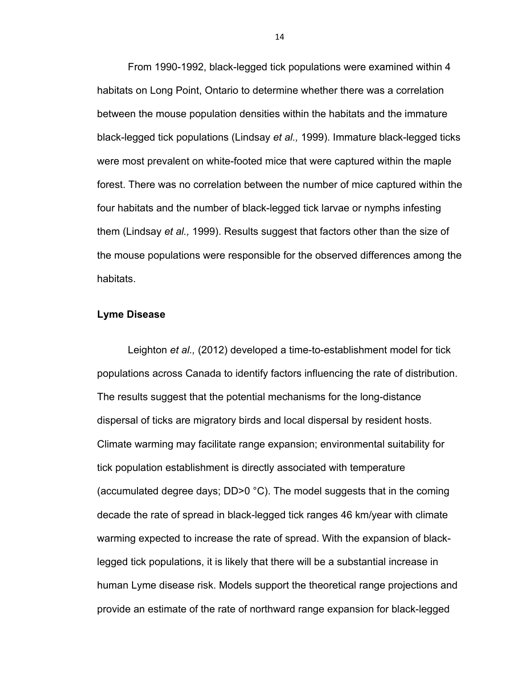From 1990-1992, black-legged tick populations were examined within 4 habitats on Long Point, Ontario to determine whether there was a correlation between the mouse population densities within the habitats and the immature black-legged tick populations (Lindsay *et al.,* 1999). Immature black-legged ticks were most prevalent on white-footed mice that were captured within the maple forest. There was no correlation between the number of mice captured within the four habitats and the number of black-legged tick larvae or nymphs infesting them (Lindsay *et al.,* 1999). Results suggest that factors other than the size of the mouse populations were responsible for the observed differences among the habitats.

# **Lyme Disease**

Leighton *et al.,* (2012) developed a time-to-establishment model for tick populations across Canada to identify factors influencing the rate of distribution. The results suggest that the potential mechanisms for the long-distance dispersal of ticks are migratory birds and local dispersal by resident hosts. Climate warming may facilitate range expansion; environmental suitability for tick population establishment is directly associated with temperature (accumulated degree days; DD>0 °C). The model suggests that in the coming decade the rate of spread in black-legged tick ranges 46 km/year with climate warming expected to increase the rate of spread. With the expansion of blacklegged tick populations, it is likely that there will be a substantial increase in human Lyme disease risk. Models support the theoretical range projections and provide an estimate of the rate of northward range expansion for black-legged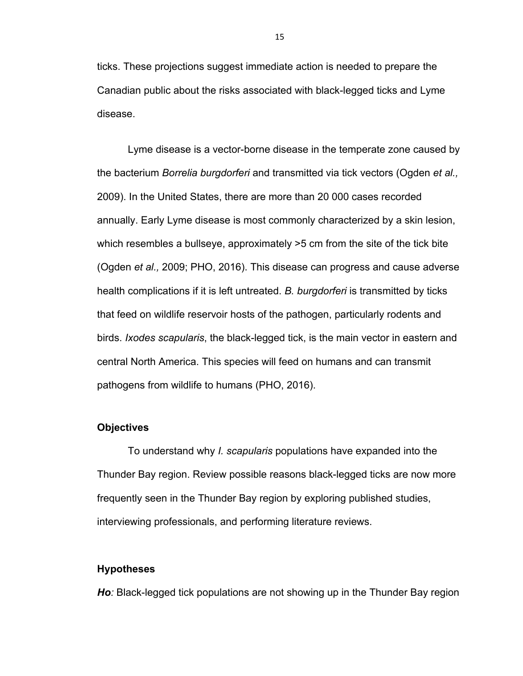ticks. These projections suggest immediate action is needed to prepare the Canadian public about the risks associated with black-legged ticks and Lyme disease.

Lyme disease is a vector-borne disease in the temperate zone caused by the bacterium *Borrelia burgdorferi* and transmitted via tick vectors (Ogden *et al.,*  2009). In the United States, there are more than 20 000 cases recorded annually. Early Lyme disease is most commonly characterized by a skin lesion, which resembles a bullseye, approximately >5 cm from the site of the tick bite (Ogden *et al.,* 2009; PHO, 2016). This disease can progress and cause adverse health complications if it is left untreated. *B. burgdorferi* is transmitted by ticks that feed on wildlife reservoir hosts of the pathogen, particularly rodents and birds. *Ixodes scapularis*, the black-legged tick, is the main vector in eastern and central North America. This species will feed on humans and can transmit pathogens from wildlife to humans (PHO, 2016).

# **Objectives**

To understand why *I. scapularis* populations have expanded into the Thunder Bay region. Review possible reasons black-legged ticks are now more frequently seen in the Thunder Bay region by exploring published studies, interviewing professionals, and performing literature reviews.

## **Hypotheses**

*Ho:* Black-legged tick populations are not showing up in the Thunder Bay region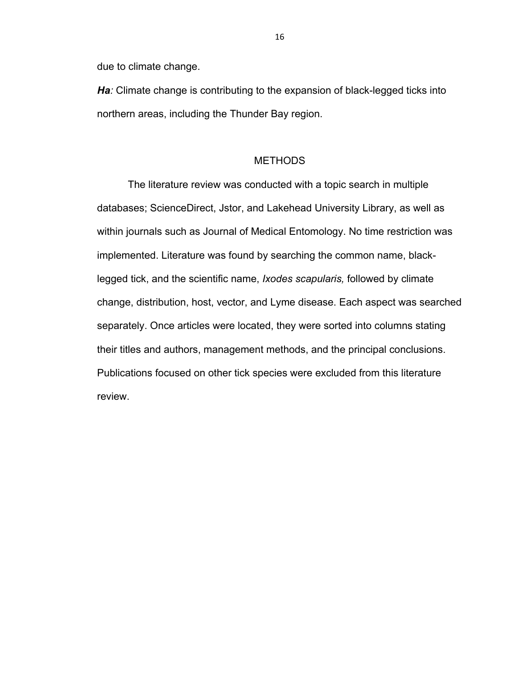due to climate change.

*Ha:* Climate change is contributing to the expansion of black-legged ticks into northern areas, including the Thunder Bay region.

# METHODS

The literature review was conducted with a topic search in multiple databases; ScienceDirect, Jstor, and Lakehead University Library, as well as within journals such as Journal of Medical Entomology. No time restriction was implemented. Literature was found by searching the common name, blacklegged tick, and the scientific name, *Ixodes scapularis,* followed by climate change, distribution, host, vector, and Lyme disease. Each aspect was searched separately. Once articles were located, they were sorted into columns stating their titles and authors, management methods, and the principal conclusions. Publications focused on other tick species were excluded from this literature review.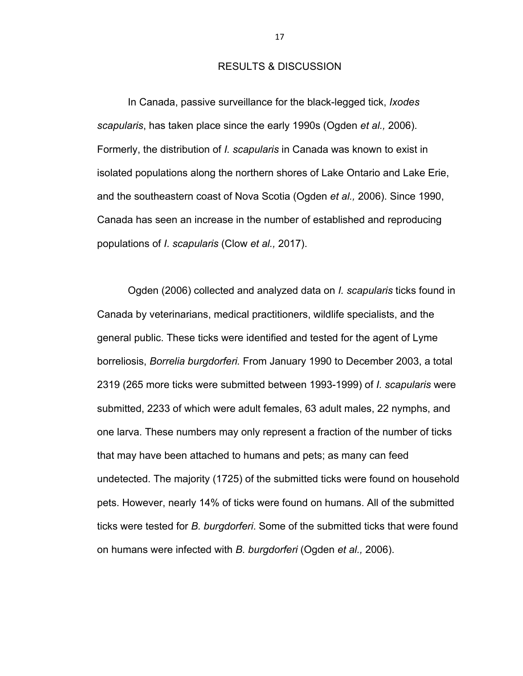## RESULTS & DISCUSSION

In Canada, passive surveillance for the black-legged tick, *Ixodes scapularis*, has taken place since the early 1990s (Ogden *et al.,* 2006). Formerly, the distribution of *I. scapularis* in Canada was known to exist in isolated populations along the northern shores of Lake Ontario and Lake Erie, and the southeastern coast of Nova Scotia (Ogden *et al.,* 2006). Since 1990, Canada has seen an increase in the number of established and reproducing populations of *I*. *scapularis* (Clow *et al.,* 2017).

Ogden (2006) collected and analyzed data on *I. scapularis* ticks found in Canada by veterinarians, medical practitioners, wildlife specialists, and the general public. These ticks were identified and tested for the agent of Lyme borreliosis, *Borrelia burgdorferi.* From January 1990 to December 2003, a total 2319 (265 more ticks were submitted between 1993-1999) of *I. scapularis* were submitted, 2233 of which were adult females, 63 adult males, 22 nymphs, and one larva. These numbers may only represent a fraction of the number of ticks that may have been attached to humans and pets; as many can feed undetected. The majority (1725) of the submitted ticks were found on household pets. However, nearly 14% of ticks were found on humans. All of the submitted ticks were tested for *B. burgdorferi*. Some of the submitted ticks that were found on humans were infected with *B. burgdorferi* (Ogden *et al.,* 2006).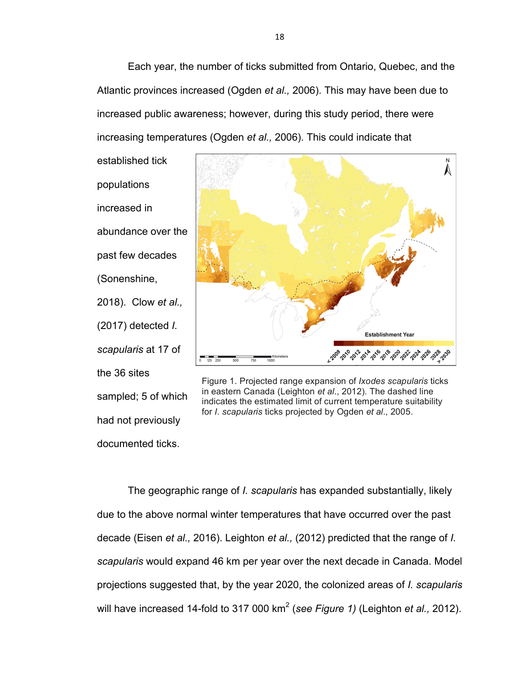Each year, the number of ticks submitted from Ontario, Quebec, and the Atlantic provinces increased (Ogden *et al.,* 2006). This may have been due to increased public awareness; however, during this study period, there were increasing temperatures (Ogden *et al.,* 2006). This could indicate that

established tick populations increased in abundance over the past few decades (Sonenshine, 2018). Clow *et al.,* (2017) detected *I. scapularis* at 17 of the 36 sites sampled; 5 of which had not previously documented ticks.



Figure 1. Projected range expansion of *Ixodes scapularis* ticks in eastern Canada (Leighton *et al*., 2012). The dashed line indicates the estimated limit of current temperature suitability for *I. scapularis* ticks projected by Ogden *et al*., 2005.

The geographic range of *I. scapularis* has expanded substantially, likely due to the above normal winter temperatures that have occurred over the past decade (Eisen *et al.,* 2016). Leighton *et al.,* (2012) predicted that the range of *I. scapularis* would expand 46 km per year over the next decade in Canada. Model projections suggested that, by the year 2020, the colonized areas of *I. scapularis*  will have increased 14-fold to 317 000 km<sup>2</sup> (*see Figure 1)* (Leighton *et al.,* 2012).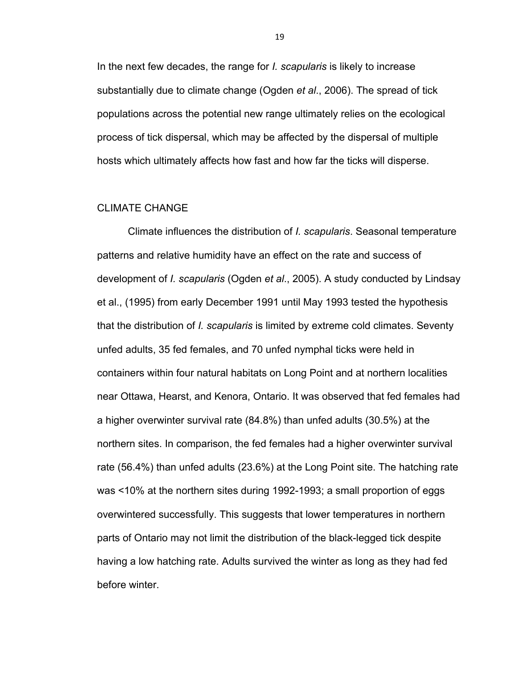In the next few decades, the range for *I. scapularis* is likely to increase substantially due to climate change (Ogden *et al*., 2006). The spread of tick populations across the potential new range ultimately relies on the ecological process of tick dispersal, which may be affected by the dispersal of multiple hosts which ultimately affects how fast and how far the ticks will disperse.

# CLIMATE CHANGE

Climate influences the distribution of *I. scapularis*. Seasonal temperature patterns and relative humidity have an effect on the rate and success of development of *I. scapularis* (Ogden *et al*., 2005). A study conducted by Lindsay et al., (1995) from early December 1991 until May 1993 tested the hypothesis that the distribution of *I. scapularis* is limited by extreme cold climates. Seventy unfed adults, 35 fed females, and 70 unfed nymphal ticks were held in containers within four natural habitats on Long Point and at northern localities near Ottawa, Hearst, and Kenora, Ontario. It was observed that fed females had a higher overwinter survival rate (84.8%) than unfed adults (30.5%) at the northern sites. In comparison, the fed females had a higher overwinter survival rate (56.4%) than unfed adults (23.6%) at the Long Point site. The hatching rate was <10% at the northern sites during 1992-1993; a small proportion of eggs overwintered successfully. This suggests that lower temperatures in northern parts of Ontario may not limit the distribution of the black-legged tick despite having a low hatching rate. Adults survived the winter as long as they had fed before winter.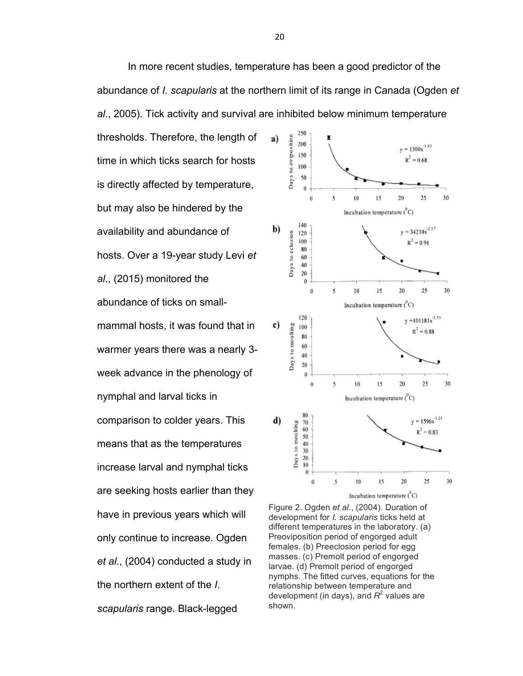```
In more recent studies, temperature has been a good predictor of the 
abundance of I. scapularis at the northern limit of its range in Canada (Ogden et 
al., 2005). Tick activity and survival are inhibited below minimum temperature
```
thresholds. Therefore, the length of time in which ticks search for hosts is directly affected by temperature, but may also be hindered by the availability and abundance of hosts. Over a 19-year study Levi *et al*., (2015) monitored the abundance of ticks on smallmammal hosts, it was found that in warmer years there was a nearly 3 week advance in the phenology of nymphal and larval ticks in comparison to colder years. This means that as the temperatures increase larval and nymphal ticks are seeking hosts earlier than they have in previous years which will only continue to increase. Ogden *et al*., (2004) conducted a study in the northern extent of the *I. scapularis* range. Black-legged



Figure 2. Ogden *et al*., (2004). Duration of development for *I. scapularis* ticks held at different temperatures in the laboratory. (a) Preoviposition period of engorged adult females. (b) Preeclosion period for egg masses. (c) Premolt period of engorged larvae. (d) Premolt period of engorged nymphs. The fitted curves, equations for the relationship between temperature and development (in days), and  $R^2$  values are shown.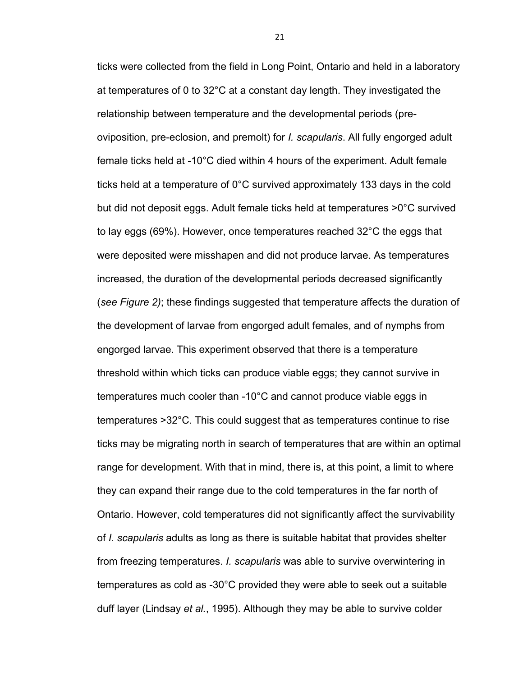ticks were collected from the field in Long Point, Ontario and held in a laboratory at temperatures of 0 to 32°C at a constant day length. They investigated the relationship between temperature and the developmental periods (preoviposition, pre-eclosion, and premolt) for *I. scapularis*. All fully engorged adult female ticks held at -10°C died within 4 hours of the experiment. Adult female ticks held at a temperature of 0°C survived approximately 133 days in the cold but did not deposit eggs. Adult female ticks held at temperatures >0°C survived to lay eggs (69%). However, once temperatures reached 32°C the eggs that were deposited were misshapen and did not produce larvae. As temperatures increased, the duration of the developmental periods decreased significantly (*see Figure 2)*; these findings suggested that temperature affects the duration of the development of larvae from engorged adult females, and of nymphs from engorged larvae. This experiment observed that there is a temperature threshold within which ticks can produce viable eggs; they cannot survive in temperatures much cooler than -10°C and cannot produce viable eggs in temperatures >32°C. This could suggest that as temperatures continue to rise ticks may be migrating north in search of temperatures that are within an optimal range for development. With that in mind, there is, at this point, a limit to where they can expand their range due to the cold temperatures in the far north of Ontario. However, cold temperatures did not significantly affect the survivability of *I. scapularis* adults as long as there is suitable habitat that provides shelter from freezing temperatures. *I. scapularis* was able to survive overwintering in temperatures as cold as -30°C provided they were able to seek out a suitable duff layer (Lindsay *et al.*, 1995). Although they may be able to survive colder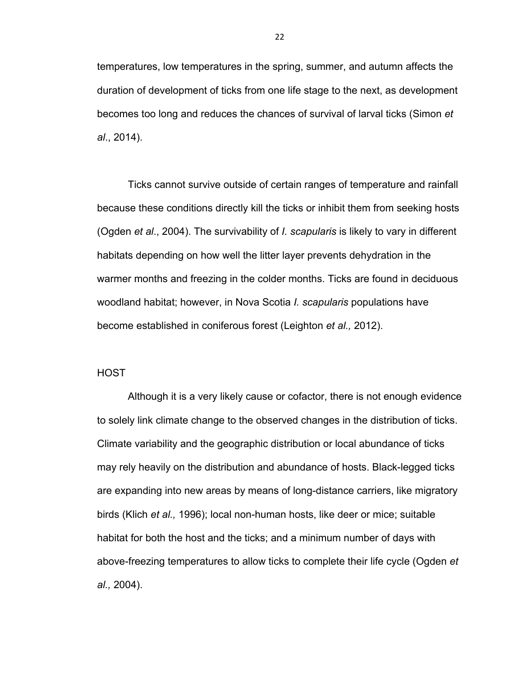temperatures, low temperatures in the spring, summer, and autumn affects the duration of development of ticks from one life stage to the next, as development becomes too long and reduces the chances of survival of larval ticks (Simon *et al*., 2014).

Ticks cannot survive outside of certain ranges of temperature and rainfall because these conditions directly kill the ticks or inhibit them from seeking hosts (Ogden *et al*., 2004). The survivability of *I. scapularis* is likely to vary in different habitats depending on how well the litter layer prevents dehydration in the warmer months and freezing in the colder months. Ticks are found in deciduous woodland habitat; however, in Nova Scotia *I. scapularis* populations have become established in coniferous forest (Leighton *et al.,* 2012).

# **HOST**

Although it is a very likely cause or cofactor, there is not enough evidence to solely link climate change to the observed changes in the distribution of ticks. Climate variability and the geographic distribution or local abundance of ticks may rely heavily on the distribution and abundance of hosts. Black-legged ticks are expanding into new areas by means of long-distance carriers, like migratory birds (Klich *et al.,* 1996); local non-human hosts, like deer or mice; suitable habitat for both the host and the ticks; and a minimum number of days with above-freezing temperatures to allow ticks to complete their life cycle (Ogden *et al.,* 2004).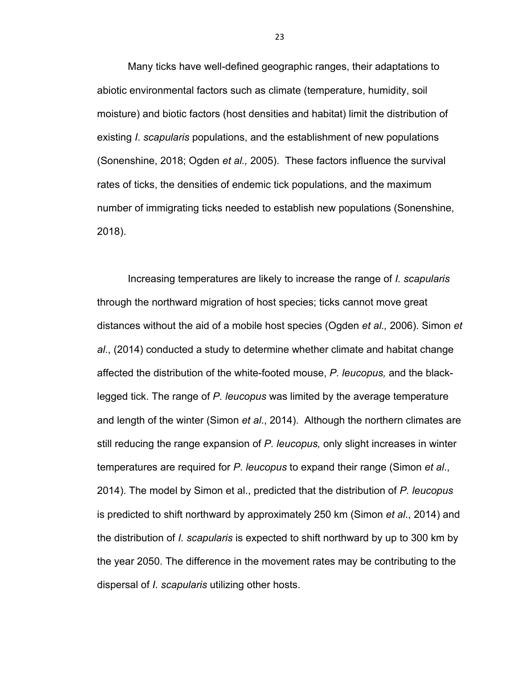Many ticks have well-defined geographic ranges, their adaptations to abiotic environmental factors such as climate (temperature, humidity, soil moisture) and biotic factors (host densities and habitat) limit the distribution of existing *I*. *scapularis* populations, and the establishment of new populations (Sonenshine, 2018; Ogden *et al.,* 2005). These factors influence the survival rates of ticks, the densities of endemic tick populations, and the maximum number of immigrating ticks needed to establish new populations (Sonenshine, 2018).

Increasing temperatures are likely to increase the range of *I. scapularis* through the northward migration of host species; ticks cannot move great distances without the aid of a mobile host species (Ogden *et al.,* 2006). Simon *et al*., (2014) conducted a study to determine whether climate and habitat change affected the distribution of the white-footed mouse, *P. leucopus,* and the blacklegged tick. The range of *P. leucopus* was limited by the average temperature and length of the winter (Simon *et al*., 2014). Although the northern climates are still reducing the range expansion of *P. leucopus,* only slight increases in winter temperatures are required for *P. leucopus* to expand their range (Simon *et al*., 2014). The model by Simon et al., predicted that the distribution of *P. leucopus*  is predicted to shift northward by approximately 250 km (Simon *et al*., 2014) and the distribution of *I. scapularis* is expected to shift northward by up to 300 km by the year 2050. The difference in the movement rates may be contributing to the dispersal of *I. scapularis* utilizing other hosts.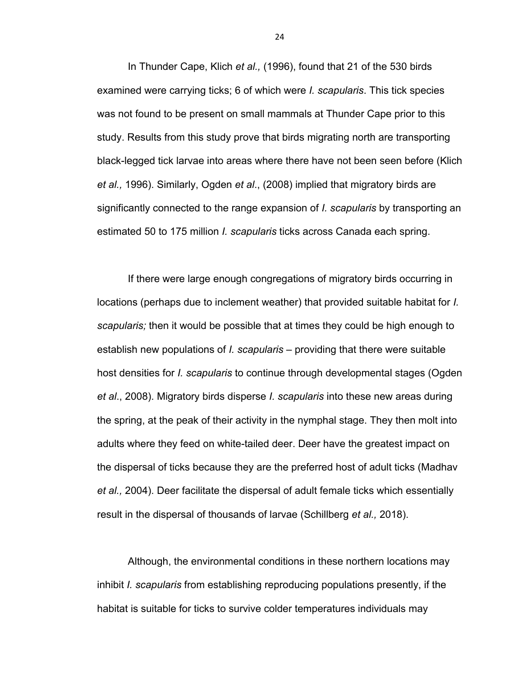In Thunder Cape, Klich *et al.,* (1996), found that 21 of the 530 birds examined were carrying ticks; 6 of which were *I. scapularis*. This tick species was not found to be present on small mammals at Thunder Cape prior to this study. Results from this study prove that birds migrating north are transporting black-legged tick larvae into areas where there have not been seen before (Klich *et al.,* 1996). Similarly, Ogden *et al*., (2008) implied that migratory birds are significantly connected to the range expansion of *I. scapularis* by transporting an estimated 50 to 175 million *I. scapularis* ticks across Canada each spring.

If there were large enough congregations of migratory birds occurring in locations (perhaps due to inclement weather) that provided suitable habitat for *I. scapularis;* then it would be possible that at times they could be high enough to establish new populations of *I. scapularis –* providing that there were suitable host densities for *I. scapularis* to continue through developmental stages (Ogden *et al*., 2008). Migratory birds disperse *I. scapularis* into these new areas during the spring, at the peak of their activity in the nymphal stage. They then molt into adults where they feed on white-tailed deer. Deer have the greatest impact on the dispersal of ticks because they are the preferred host of adult ticks (Madhav *et al.,* 2004). Deer facilitate the dispersal of adult female ticks which essentially result in the dispersal of thousands of larvae (Schillberg *et al.,* 2018).

Although, the environmental conditions in these northern locations may inhibit *I. scapularis* from establishing reproducing populations presently, if the habitat is suitable for ticks to survive colder temperatures individuals may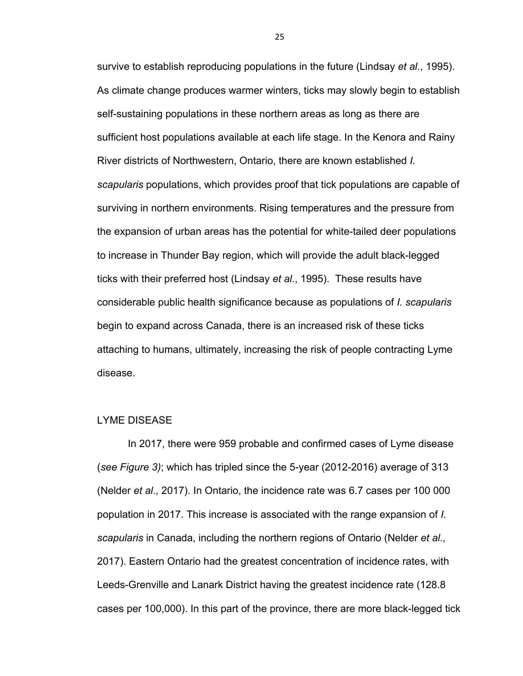survive to establish reproducing populations in the future (Lindsay *et al.*, 1995). As climate change produces warmer winters, ticks may slowly begin to establish self-sustaining populations in these northern areas as long as there are sufficient host populations available at each life stage. In the Kenora and Rainy River districts of Northwestern, Ontario, there are known established *I. scapularis* populations, which provides proof that tick populations are capable of surviving in northern environments. Rising temperatures and the pressure from the expansion of urban areas has the potential for white-tailed deer populations to increase in Thunder Bay region, which will provide the adult black-legged ticks with their preferred host (Lindsay *et al*., 1995). These results have considerable public health significance because as populations of *I. scapularis* begin to expand across Canada, there is an increased risk of these ticks attaching to humans, ultimately, increasing the risk of people contracting Lyme disease.

## LYME DISEASE

In 2017, there were 959 probable and confirmed cases of Lyme disease (*see Figure 3)*; which has tripled since the 5-year (2012-2016) average of 313 (Nelder *et al.,* 2017). In Ontario, the incidence rate was 6.7 cases per 100 000 population in 2017. This increase is associated with the range expansion of *I. scapularis* in Canada, including the northern regions of Ontario (Nelder *et al.,*  2017). Eastern Ontario had the greatest concentration of incidence rates, with Leeds-Grenville and Lanark District having the greatest incidence rate (128.8 cases per 100,000). In this part of the province, there are more black-legged tick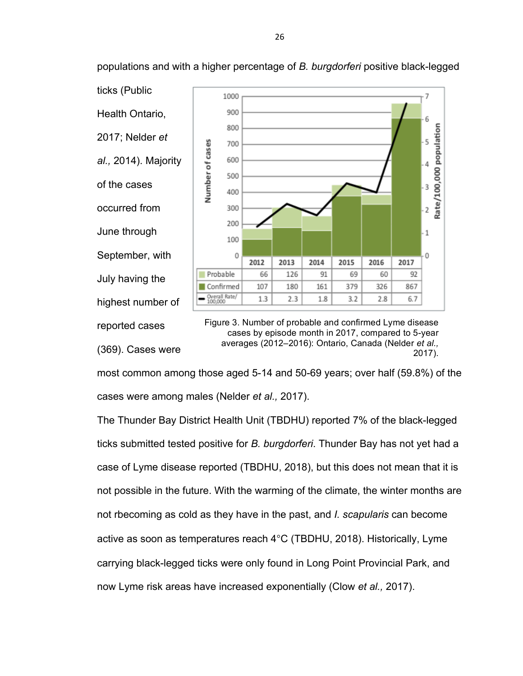

populations and with a higher percentage of *B. burgdorferi* positive black-legged

averages (2012–2016): Ontario, Canada (Nelder *et al.,*  2017).

most common among those aged 5-14 and 50-69 years; over half (59.8%) of the cases were among males (Nelder *et al.,* 2017).

(369). Cases were

The Thunder Bay District Health Unit (TBDHU) reported 7% of the black-legged ticks submitted tested positive for *B. burgdorferi*. Thunder Bay has not yet had a case of Lyme disease reported (TBDHU, 2018), but this does not mean that it is not possible in the future. With the warming of the climate, the winter months are not rbecoming as cold as they have in the past, and *I. scapularis* can become active as soon as temperatures reach 4°C (TBDHU, 2018). Historically, Lyme carrying black-legged ticks were only found in Long Point Provincial Park, and now Lyme risk areas have increased exponentially (Clow *et al.,* 2017).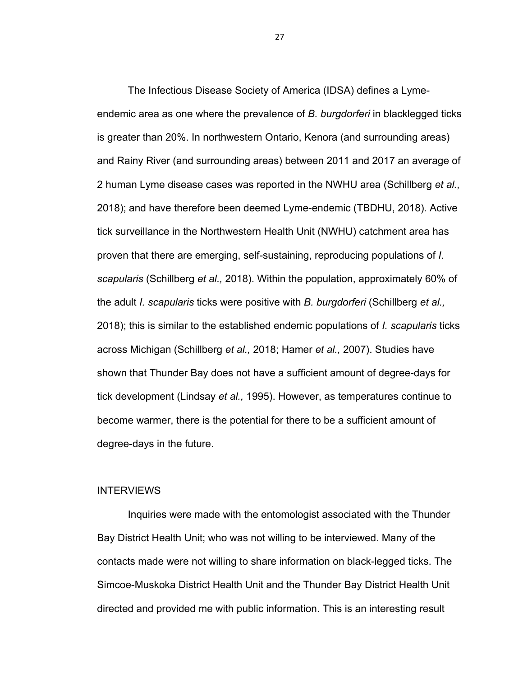The Infectious Disease Society of America (IDSA) defines a Lymeendemic area as one where the prevalence of *B. burgdorferi* in blacklegged ticks is greater than 20%. In northwestern Ontario, Kenora (and surrounding areas) and Rainy River (and surrounding areas) between 2011 and 2017 an average of 2 human Lyme disease cases was reported in the NWHU area (Schillberg *et al.,*  2018); and have therefore been deemed Lyme-endemic (TBDHU, 2018). Active tick surveillance in the Northwestern Health Unit (NWHU) catchment area has proven that there are emerging, self-sustaining, reproducing populations of *I. scapularis* (Schillberg *et al.,* 2018). Within the population, approximately 60% of the adult *I. scapularis* ticks were positive with *B. burgdorferi* (Schillberg *et al.,*  2018); this is similar to the established endemic populations of *I. scapularis* ticks across Michigan (Schillberg *et al.,* 2018; Hamer *et al.,* 2007). Studies have shown that Thunder Bay does not have a sufficient amount of degree-days for tick development (Lindsay *et al.,* 1995). However, as temperatures continue to become warmer, there is the potential for there to be a sufficient amount of degree-days in the future.

# **INTERVIEWS**

Inquiries were made with the entomologist associated with the Thunder Bay District Health Unit; who was not willing to be interviewed. Many of the contacts made were not willing to share information on black-legged ticks. The Simcoe-Muskoka District Health Unit and the Thunder Bay District Health Unit directed and provided me with public information. This is an interesting result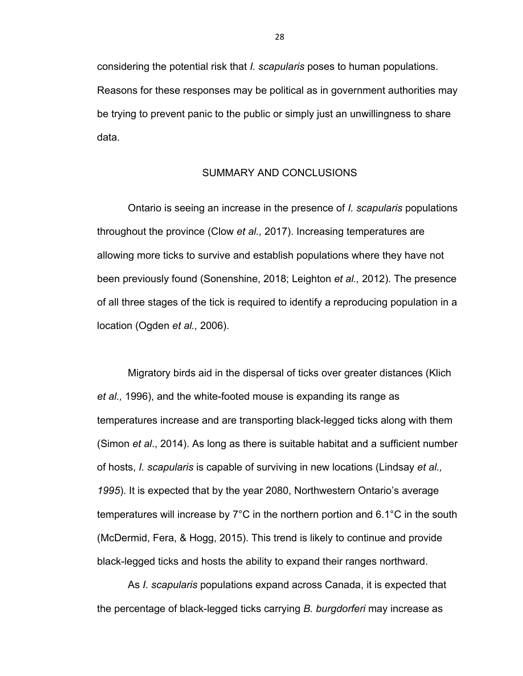considering the potential risk that *I. scapularis* poses to human populations. Reasons for these responses may be political as in government authorities may be trying to prevent panic to the public or simply just an unwillingness to share data.

## SUMMARY AND CONCLUSIONS

Ontario is seeing an increase in the presence of *I. scapularis* populations throughout the province (Clow *et al.,* 2017). Increasing temperatures are allowing more ticks to survive and establish populations where they have not been previously found (Sonenshine, 2018; Leighton *et al.,* 2012). The presence of all three stages of the tick is required to identify a reproducing population in a location (Ogden *et al.,* 2006).

Migratory birds aid in the dispersal of ticks over greater distances (Klich *et al.,* 1996), and the white-footed mouse is expanding its range as temperatures increase and are transporting black-legged ticks along with them (Simon *et al*., 2014). As long as there is suitable habitat and a sufficient number of hosts, *I. scapularis* is capable of surviving in new locations (Lindsay *et al., 1995*). It is expected that by the year 2080, Northwestern Ontario's average temperatures will increase by 7°C in the northern portion and 6.1°C in the south (McDermid, Fera, & Hogg, 2015). This trend is likely to continue and provide black-legged ticks and hosts the ability to expand their ranges northward.

As *I. scapularis* populations expand across Canada, it is expected that the percentage of black-legged ticks carrying *B. burgdorferi* may increase as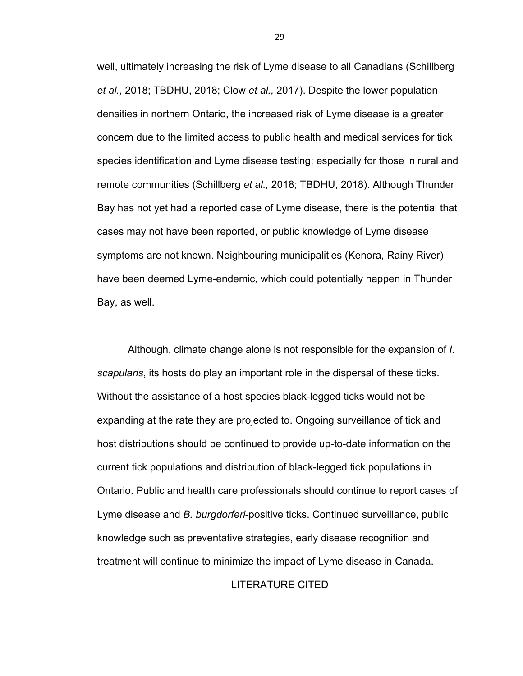well, ultimately increasing the risk of Lyme disease to all Canadians (Schillberg *et al.,* 2018; TBDHU, 2018; Clow *et al.,* 2017). Despite the lower population densities in northern Ontario, the increased risk of Lyme disease is a greater concern due to the limited access to public health and medical services for tick species identification and Lyme disease testing; especially for those in rural and remote communities (Schillberg *et al.,* 2018; TBDHU, 2018). Although Thunder Bay has not yet had a reported case of Lyme disease, there is the potential that cases may not have been reported, or public knowledge of Lyme disease symptoms are not known. Neighbouring municipalities (Kenora, Rainy River) have been deemed Lyme-endemic, which could potentially happen in Thunder Bay, as well.

Although, climate change alone is not responsible for the expansion of *I. scapularis*, its hosts do play an important role in the dispersal of these ticks. Without the assistance of a host species black-legged ticks would not be expanding at the rate they are projected to. Ongoing surveillance of tick and host distributions should be continued to provide up-to-date information on the current tick populations and distribution of black-legged tick populations in Ontario. Public and health care professionals should continue to report cases of Lyme disease and *B. burgdorferi*-positive ticks. Continued surveillance, public knowledge such as preventative strategies, early disease recognition and treatment will continue to minimize the impact of Lyme disease in Canada.

# LITERATURE CITED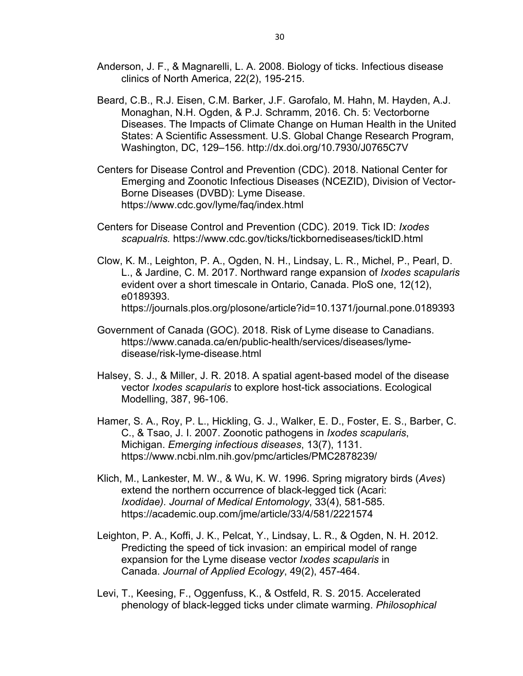- Anderson, J. F., & Magnarelli, L. A. 2008. Biology of ticks. Infectious disease clinics of North America, 22(2), 195-215.
- Beard, C.B., R.J. Eisen, C.M. Barker, J.F. Garofalo, M. Hahn, M. Hayden, A.J. Monaghan, N.H. Ogden, & P.J. Schramm, 2016. Ch. 5: Vectorborne Diseases. The Impacts of Climate Change on Human Health in the United States: A Scientific Assessment. U.S. Global Change Research Program, Washington, DC, 129–156. http://dx.doi.org/10.7930/J0765C7V
- Centers for Disease Control and Prevention (CDC). 2018. National Center for Emerging and Zoonotic Infectious Diseases (NCEZID), Division of Vector-Borne Diseases (DVBD): Lyme Disease. https://www.cdc.gov/lyme/faq/index.html
- Centers for Disease Control and Prevention (CDC). 2019. Tick ID: *Ixodes scapualris.* https://www.cdc.gov/ticks/tickbornediseases/tickID.html
- Clow, K. M., Leighton, P. A., Ogden, N. H., Lindsay, L. R., Michel, P., Pearl, D. L., & Jardine, C. M. 2017. Northward range expansion of *Ixodes scapularis* evident over a short timescale in Ontario, Canada. PloS one, 12(12), e0189393. https://journals.plos.org/plosone/article?id=10.1371/journal.pone.0189393
- Government of Canada (GOC). 2018. Risk of Lyme disease to Canadians. https://www.canada.ca/en/public-health/services/diseases/lymedisease/risk-lyme-disease.html
- Halsey, S. J., & Miller, J. R. 2018. A spatial agent-based model of the disease vector *Ixodes scapularis* to explore host-tick associations. Ecological Modelling, 387, 96-106.
- Hamer, S. A., Roy, P. L., Hickling, G. J., Walker, E. D., Foster, E. S., Barber, C. C., & Tsao, J. I. 2007. Zoonotic pathogens in *Ixodes scapularis*, Michigan. *Emerging infectious diseases*, 13(7), 1131. https://www.ncbi.nlm.nih.gov/pmc/articles/PMC2878239/
- Klich, M., Lankester, M. W., & Wu, K. W. 1996. Spring migratory birds (*Aves*) extend the northern occurrence of black-legged tick (Acari: *Ixodidae). Journal of Medical Entomology*, 33(4), 581-585. https://academic.oup.com/jme/article/33/4/581/2221574
- Leighton, P. A., Koffi, J. K., Pelcat, Y., Lindsay, L. R., & Ogden, N. H. 2012. Predicting the speed of tick invasion: an empirical model of range expansion for the Lyme disease vector *Ixodes scapularis* in Canada. *Journal of Applied Ecology*, 49(2), 457-464.
- Levi, T., Keesing, F., Oggenfuss, K., & Ostfeld, R. S. 2015. Accelerated phenology of black-legged ticks under climate warming. *Philosophical*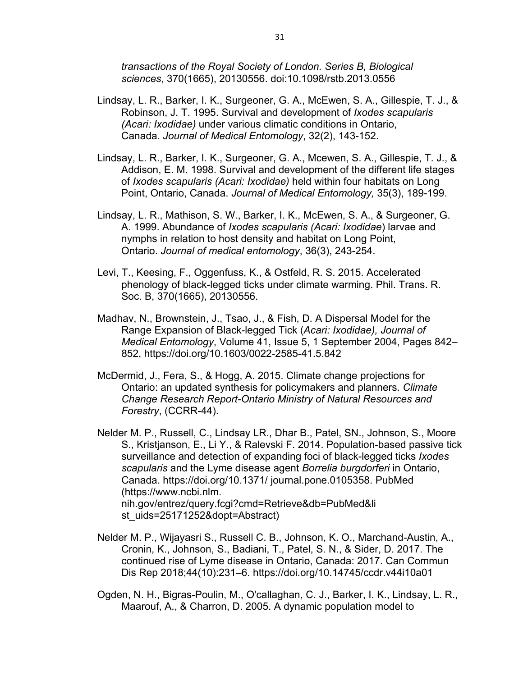*transactions of the Royal Society of London. Series B, Biological sciences*, 370(1665), 20130556. doi:10.1098/rstb.2013.0556

- Lindsay, L. R., Barker, I. K., Surgeoner, G. A., McEwen, S. A., Gillespie, T. J., & Robinson, J. T. 1995. Survival and development of *Ixodes scapularis (Acari: Ixodidae)* under various climatic conditions in Ontario, Canada. *Journal of Medical Entomology*, 32(2), 143-152.
- Lindsay, L. R., Barker, I. K., Surgeoner, G. A., Mcewen, S. A., Gillespie, T. J., & Addison, E. M. 1998. Survival and development of the different life stages of *Ixodes scapularis (Acari: Ixodidae)* held within four habitats on Long Point, Ontario, Canada. *Journal of Medical Entomology,* 35(3), 189-199.
- Lindsay, L. R., Mathison, S. W., Barker, I. K., McEwen, S. A., & Surgeoner, G. A. 1999. Abundance of *Ixodes scapularis (Acari: Ixodidae*) larvae and nymphs in relation to host density and habitat on Long Point, Ontario. *Journal of medical entomology*, 36(3), 243-254.
- Levi, T., Keesing, F., Oggenfuss, K., & Ostfeld, R. S. 2015. Accelerated phenology of black-legged ticks under climate warming. Phil. Trans. R. Soc. B, 370(1665), 20130556.
- Madhav, N., Brownstein, J., Tsao, J., & Fish, D. A Dispersal Model for the Range Expansion of Black-legged Tick (*Acari: Ixodidae), Journal of Medical Entomology*, Volume 41, Issue 5, 1 September 2004, Pages 842– 852, https://doi.org/10.1603/0022-2585-41.5.842
- McDermid, J., Fera, S., & Hogg, A. 2015. Climate change projections for Ontario: an updated synthesis for policymakers and planners. *Climate Change Research Report-Ontario Ministry of Natural Resources and Forestry*, (CCRR-44).
- Nelder M. P., Russell, C., Lindsay LR., Dhar B., Patel, SN., Johnson, S., Moore S., Kristjanson, E., Li Y., & Ralevski F. 2014. Population-based passive tick surveillance and detection of expanding foci of black-legged ticks *Ixodes scapularis* and the Lyme disease agent *Borrelia burgdorferi* in Ontario, Canada. https://doi.org/10.1371/ journal.pone.0105358. PubMed (https://www.ncbi.nlm. nih.gov/entrez/query.fcgi?cmd=Retrieve&db=PubMed&li st\_uids=25171252&dopt=Abstract)
- Nelder M. P., Wijayasri S., Russell C. B., Johnson, K. O., Marchand-Austin, A., Cronin, K., Johnson, S., Badiani, T., Patel, S. N., & Sider, D. 2017. The continued rise of Lyme disease in Ontario, Canada: 2017. Can Commun Dis Rep 2018;44(10):231–6. https://doi.org/10.14745/ccdr.v44i10a01
- Ogden, N. H., Bigras-Poulin, M., O'callaghan, C. J., Barker, I. K., Lindsay, L. R., Maarouf, A., & Charron, D. 2005. A dynamic population model to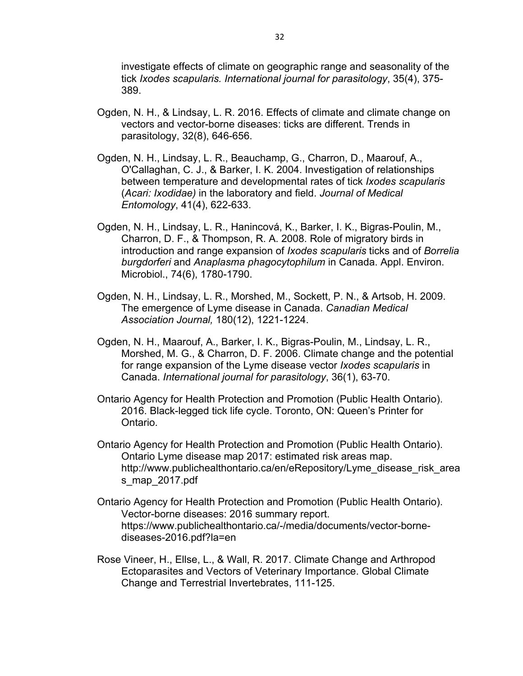investigate effects of climate on geographic range and seasonality of the tick *Ixodes scapularis. International journal for parasitology*, 35(4), 375- 389.

- Ogden, N. H., & Lindsay, L. R. 2016. Effects of climate and climate change on vectors and vector-borne diseases: ticks are different. Trends in parasitology, 32(8), 646-656.
- Ogden, N. H., Lindsay, L. R., Beauchamp, G., Charron, D., Maarouf, A., O'Callaghan, C. J., & Barker, I. K. 2004. Investigation of relationships between temperature and developmental rates of tick *Ixodes scapularis* (*Acari: Ixodidae)* in the laboratory and field. *Journal of Medical Entomology*, 41(4), 622-633.
- Ogden, N. H., Lindsay, L. R., Hanincová, K., Barker, I. K., Bigras-Poulin, M., Charron, D. F., & Thompson, R. A. 2008. Role of migratory birds in introduction and range expansion of *Ixodes scapularis* ticks and of *Borrelia burgdorferi* and *Anaplasma phagocytophilum* in Canada. Appl. Environ. Microbiol., 74(6), 1780-1790.
- Ogden, N. H., Lindsay, L. R., Morshed, M., Sockett, P. N., & Artsob, H. 2009. The emergence of Lyme disease in Canada. *Canadian Medical Association Journal,* 180(12), 1221-1224.
- Ogden, N. H., Maarouf, A., Barker, I. K., Bigras-Poulin, M., Lindsay, L. R., Morshed, M. G., & Charron, D. F. 2006. Climate change and the potential for range expansion of the Lyme disease vector *Ixodes scapularis* in Canada. *International journal for parasitology*, 36(1), 63-70.
- Ontario Agency for Health Protection and Promotion (Public Health Ontario). 2016. Black-legged tick life cycle. Toronto, ON: Queen's Printer for Ontario.
- Ontario Agency for Health Protection and Promotion (Public Health Ontario). Ontario Lyme disease map 2017: estimated risk areas map. http://www.publichealthontario.ca/en/eRepository/Lyme\_disease\_risk\_area s\_map\_2017.pdf
- Ontario Agency for Health Protection and Promotion (Public Health Ontario). Vector-borne diseases: 2016 summary report. https://www.publichealthontario.ca/-/media/documents/vector-bornediseases-2016.pdf?la=en
- Rose Vineer, H., Ellse, L., & Wall, R. 2017. Climate Change and Arthropod Ectoparasites and Vectors of Veterinary Importance. Global Climate Change and Terrestrial Invertebrates, 111-125.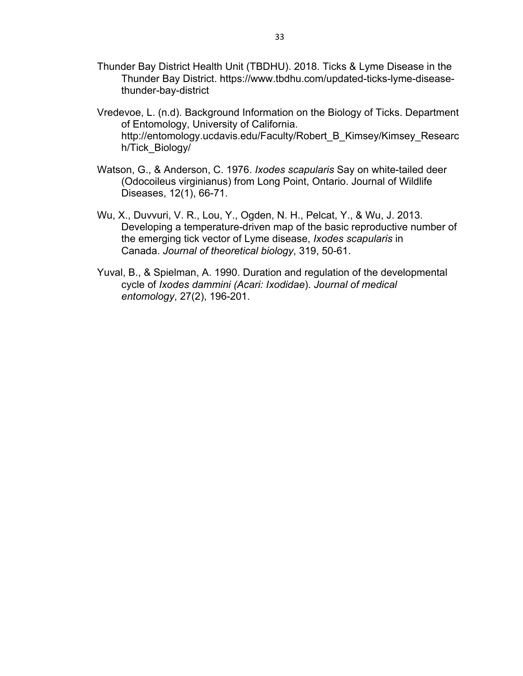- Thunder Bay District Health Unit (TBDHU). 2018. Ticks & Lyme Disease in the Thunder Bay District. https://www.tbdhu.com/updated-ticks-lyme-diseasethunder-bay-district
- Vredevoe, L. (n.d). Background Information on the Biology of Ticks. Department of Entomology, University of California. http://entomology.ucdavis.edu/Faculty/Robert\_B\_Kimsey/Kimsey\_Researc h/Tick\_Biology/
- Watson, G., & Anderson, C. 1976. *Ixodes scapularis* Say on white-tailed deer (Odocoileus virginianus) from Long Point, Ontario. Journal of Wildlife Diseases, 12(1), 66-71.
- Wu, X., Duvvuri, V. R., Lou, Y., Ogden, N. H., Pelcat, Y., & Wu, J. 2013. Developing a temperature-driven map of the basic reproductive number of the emerging tick vector of Lyme disease, *Ixodes scapularis* in Canada. *Journal of theoretical biology*, 319, 50-61.
- Yuval, B., & Spielman, A. 1990. Duration and regulation of the developmental cycle of *Ixodes dammini (Acari: Ixodidae*). *Journal of medical entomology*, 27(2), 196-201.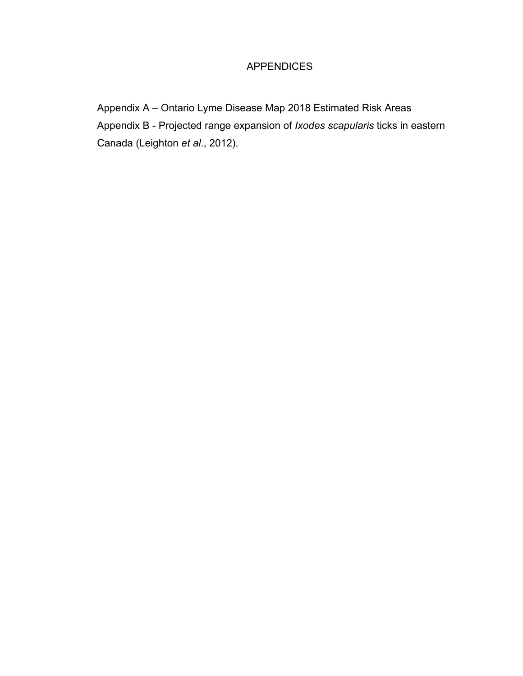# APPENDICES

Appendix A – Ontario Lyme Disease Map 2018 Estimated Risk Areas Appendix B - Projected range expansion of *Ixodes scapularis* ticks in eastern Canada (Leighton *et al*., 2012).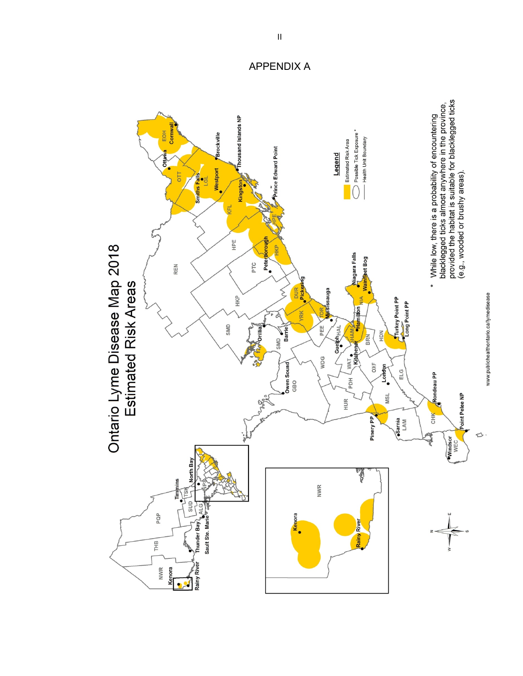

APPENDIX A